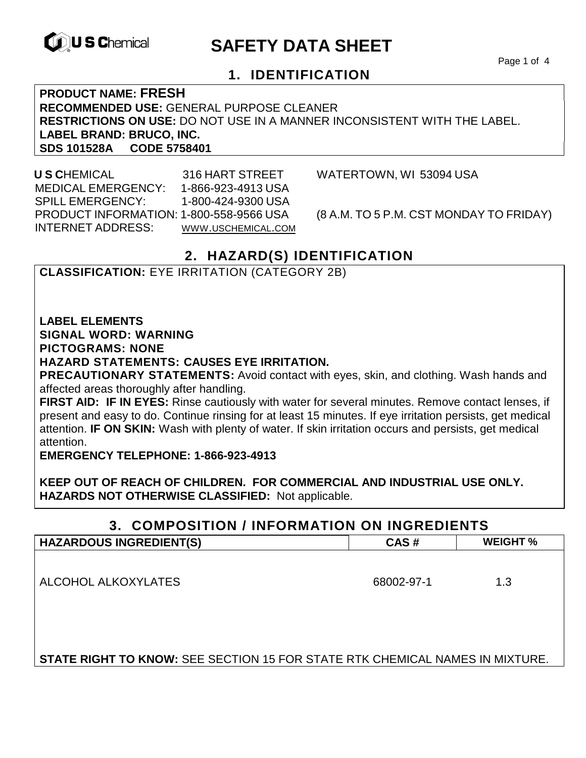

# **EXAMPLE THE SAFETY DATA SHEET**

Page 1 of 4

#### **1. IDENTIFICATION**

**PRODUCT NAME: FRESH RECOMMENDED USE:** GENERAL PURPOSE CLEANER **RESTRICTIONS ON USE:** DO NOT USE IN A MANNER INCONSISTENT WITH THE LABEL. **LABEL BRAND: BRUCO, INC. SDS 101528A CODE 5758401** 

 **U S C**HEMICAL 316 HART STREET WATERTOWN, WI 53094 USA MEDICAL EMERGENCY: 1-866-923-4913 USA SPILL EMERGENCY: 1-800-424-9300 USA PRODUCT INFORMATION: 1-800-558-9566 USA (8 A.M. TO 5 P.M. CST MONDAY TO FRIDAY) INTERNET ADDRESS: WWW.USCHEMICAL.COM

#### **2. HAZARD(S) IDENTIFICATION**

#### **CLASSIFICATION:** EYE IRRITATION (CATEGORY 2B)

**LABEL ELEMENTS** 

**SIGNAL WORD: WARNING**

**PICTOGRAMS: NONE**

#### **HAZARD STATEMENTS: CAUSES EYE IRRITATION.**

**PRECAUTIONARY STATEMENTS:** Avoid contact with eyes, skin, and clothing. Wash hands and affected areas thoroughly after handling.

**FIRST AID: IF IN EYES:** Rinse cautiously with water for several minutes. Remove contact lenses, if present and easy to do. Continue rinsing for at least 15 minutes. If eye irritation persists, get medical attention. **IF ON SKIN:** Wash with plenty of water. If skin irritation occurs and persists, get medical attention.

**EMERGENCY TELEPHONE: 1-866-923-4913** 

**KEEP OUT OF REACH OF CHILDREN. FOR COMMERCIAL AND INDUSTRIAL USE ONLY. HAZARDS NOT OTHERWISE CLASSIFIED:** Not applicable.

#### **3. COMPOSITION / INFORMATION ON INGREDIENTS HAZARDOUS INGREDIENT(S) CAS # WEIGHT %**

ALCOHOL ALKOXYLATES 68002-97-1 1.3

**STATE RIGHT TO KNOW:** SEE SECTION 15 FOR STATE RTK CHEMICAL NAMES IN MIXTURE.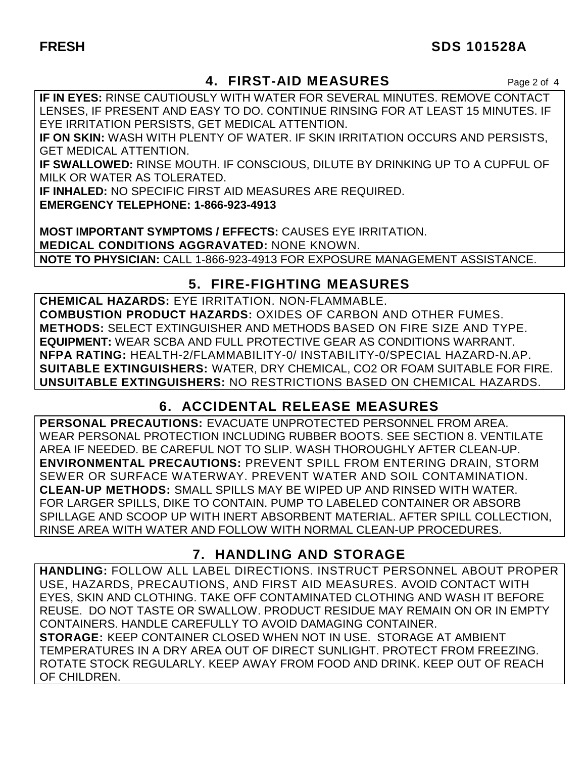#### **FRESH SDS 101528A**

### **4. FIRST-AID MEASURES** Page 2 of 4

**IF IN EYES:** RINSE CAUTIOUSLY WITH WATER FOR SEVERAL MINUTES. REMOVE CONTACT LENSES, IF PRESENT AND EASY TO DO. CONTINUE RINSING FOR AT LEAST 15 MINUTES. IF EYE IRRITATION PERSISTS, GET MEDICAL ATTENTION.

**IF ON SKIN:** WASH WITH PLENTY OF WATER. IF SKIN IRRITATION OCCURS AND PERSISTS, GET MEDICAL ATTENTION.

**IF SWALLOWED:** RINSE MOUTH. IF CONSCIOUS, DILUTE BY DRINKING UP TO A CUPFUL OF MILK OR WATER AS TOLERATED.

**IF INHALED:** NO SPECIFIC FIRST AID MEASURES ARE REQUIRED.

**EMERGENCY TELEPHONE: 1-866-923-4913** 

**MOST IMPORTANT SYMPTOMS / EFFECTS:** CAUSES EYE IRRITATION. **MEDICAL CONDITIONS AGGRAVATED:** NONE KNOWN. **NOTE TO PHYSICIAN:** CALL 1-866-923-4913 FOR EXPOSURE MANAGEMENT ASSISTANCE.

#### **5. FIRE-FIGHTING MEASURES**

**CHEMICAL HAZARDS:** EYE IRRITATION. NON-FLAMMABLE. **COMBUSTION PRODUCT HAZARDS:** OXIDES OF CARBON AND OTHER FUMES. **METHODS:** SELECT EXTINGUISHER AND METHODS BASED ON FIRE SIZE AND TYPE. **EQUIPMENT:** WEAR SCBA AND FULL PROTECTIVE GEAR AS CONDITIONS WARRANT. **NFPA RATING:** HEALTH-2/FLAMMABILITY-0/ INSTABILITY-0/SPECIAL HAZARD-N.AP. **SUITABLE EXTINGUISHERS:** WATER, DRY CHEMICAL, CO2 OR FOAM SUITABLE FOR FIRE. **UNSUITABLE EXTINGUISHERS:** NO RESTRICTIONS BASED ON CHEMICAL HAZARDS.

# **6. ACCIDENTAL RELEASE MEASURES**

**PERSONAL PRECAUTIONS:** EVACUATE UNPROTECTED PERSONNEL FROM AREA. WEAR PERSONAL PROTECTION INCLUDING RUBBER BOOTS. SEE SECTION 8. VENTILATE AREA IF NEEDED. BE CAREFUL NOT TO SLIP. WASH THOROUGHLY AFTER CLEAN-UP. **ENVIRONMENTAL PRECAUTIONS:** PREVENT SPILL FROM ENTERING DRAIN, STORM SEWER OR SURFACE WATERWAY. PREVENT WATER AND SOIL CONTAMINATION. **CLEAN-UP METHODS:** SMALL SPILLS MAY BE WIPED UP AND RINSED WITH WATER. FOR LARGER SPILLS, DIKE TO CONTAIN. PUMP TO LABELED CONTAINER OR ABSORB SPILLAGE AND SCOOP UP WITH INERT ABSORBENT MATERIAL. AFTER SPILL COLLECTION, RINSE AREA WITH WATER AND FOLLOW WITH NORMAL CLEAN-UP PROCEDURES.

# **7. HANDLING AND STORAGE**

**HANDLING:** FOLLOW ALL LABEL DIRECTIONS. INSTRUCT PERSONNEL ABOUT PROPER USE, HAZARDS, PRECAUTIONS, AND FIRST AID MEASURES. AVOID CONTACT WITH EYES, SKIN AND CLOTHING. TAKE OFF CONTAMINATED CLOTHING AND WASH IT BEFORE REUSE. DO NOT TASTE OR SWALLOW. PRODUCT RESIDUE MAY REMAIN ON OR IN EMPTY CONTAINERS. HANDLE CAREFULLY TO AVOID DAMAGING CONTAINER.

**STORAGE:** KEEP CONTAINER CLOSED WHEN NOT IN USE. STORAGE AT AMBIENT TEMPERATURES IN A DRY AREA OUT OF DIRECT SUNLIGHT. PROTECT FROM FREEZING. ROTATE STOCK REGULARLY. KEEP AWAY FROM FOOD AND DRINK. KEEP OUT OF REACH OF CHILDREN.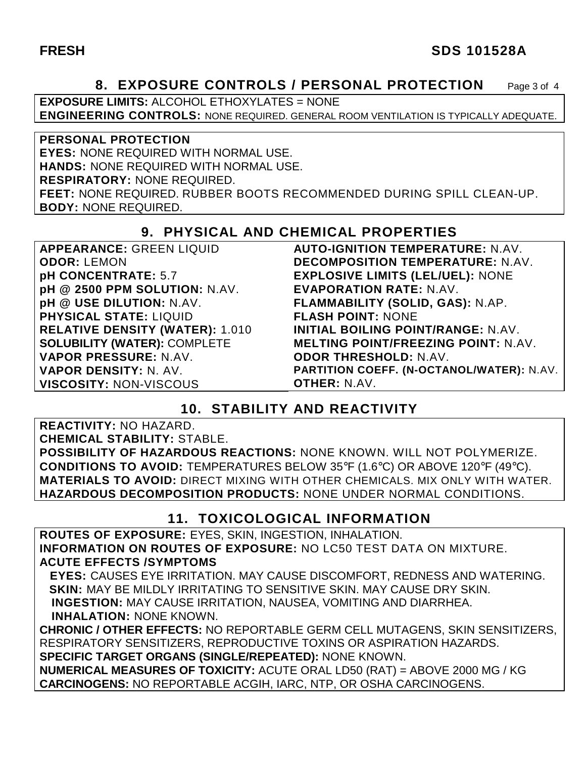#### **FRESH SDS 101528A**

#### **8. EXPOSURE CONTROLS / PERSONAL PROTECTION** Page 3 of 4

**EXPOSURE LIMITS:** ALCOHOL ETHOXYLATES = NONE **ENGINEERING CONTROLS:** NONE REQUIRED. GENERAL ROOM VENTILATION IS TYPICALLY ADEQUATE.

**PERSONAL PROTECTION EYES:** NONE REQUIRED WITH NORMAL USE. **HANDS:** NONE REQUIRED WITH NORMAL USE. **RESPIRATORY:** NONE REQUIRED. **FEET:** NONE REQUIRED. RUBBER BOOTS RECOMMENDED DURING SPILL CLEAN-UP. **BODY:** NONE REQUIRED.

#### **9. PHYSICAL AND CHEMICAL PROPERTIES**

| <b>APPEARANCE: GREEN LIQUID</b>        | <b>AUTO-IGNITION TEMPERATURE: N.AV.</b>    |
|----------------------------------------|--------------------------------------------|
| <b>ODOR: LEMON</b>                     | <b>DECOMPOSITION TEMPERATURE: N.AV.</b>    |
| pH CONCENTRATE: 5.7                    | <b>EXPLOSIVE LIMITS (LEL/UEL): NONE</b>    |
| pH @ 2500 PPM SOLUTION: N.AV.          | <b>EVAPORATION RATE: N.AV.</b>             |
| pH @ USE DILUTION: N.AV.               | FLAMMABILITY (SOLID, GAS): N.AP.           |
| <b>PHYSICAL STATE: LIQUID</b>          | <b>FLASH POINT: NONE</b>                   |
| <b>RELATIVE DENSITY (WATER): 1.010</b> | <b>INITIAL BOILING POINT/RANGE: N.AV.</b>  |
| <b>SOLUBILITY (WATER): COMPLETE</b>    | <b>MELTING POINT/FREEZING POINT: N.AV.</b> |
| VAPOR PRESSURE: N.AV.                  | <b>ODOR THRESHOLD: N.AV.</b>               |
| VAPOR DENSITY: N. AV.                  | PARTITION COEFF. (N-OCTANOL/WATER): N.AV.  |
| <b>VISCOSITY: NON-VISCOUS</b>          | <b>OTHER: N.AV.</b>                        |
|                                        |                                            |

# **10. STABILITY AND REACTIVITY**

**REACTIVITY:** NO HAZARD. **CHEMICAL STABILITY:** STABLE. **POSSIBILITY OF HAZARDOUS REACTIONS:** NONE KNOWN. WILL NOT POLYMERIZE. **CONDITIONS TO AVOID:** TEMPERATURES BELOW 35°F (1.6°C) OR ABOVE 120°F (49°C). **MATERIALS TO AVOID:** DIRECT MIXING WITH OTHER CHEMICALS. MIX ONLY WITH WATER. **HAZARDOUS DECOMPOSITION PRODUCTS:** NONE UNDER NORMAL CONDITIONS.

#### **11. TOXICOLOGICAL INFORMATION**

**ROUTES OF EXPOSURE:** EYES, SKIN, INGESTION, INHALATION. **INFORMATION ON ROUTES OF EXPOSURE:** NO LC50 TEST DATA ON MIXTURE. **ACUTE EFFECTS /SYMPTOMS**

 **EYES:** CAUSES EYE IRRITATION. MAY CAUSE DISCOMFORT, REDNESS AND WATERING. **SKIN:** MAY BE MILDLY IRRITATING TO SENSITIVE SKIN. MAY CAUSE DRY SKIN. **INGESTION:** MAY CAUSE IRRITATION, NAUSEA, VOMITING AND DIARRHEA. **INHALATION:** NONE KNOWN.

**CHRONIC / OTHER EFFECTS:** NO REPORTABLE GERM CELL MUTAGENS, SKIN SENSITIZERS, RESPIRATORY SENSITIZERS, REPRODUCTIVE TOXINS OR ASPIRATION HAZARDS. **SPECIFIC TARGET ORGANS (SINGLE/REPEATED):** NONE KNOWN.

**NUMERICAL MEASURES OF TOXICITY:** ACUTE ORAL LD50 (RAT) = ABOVE 2000 MG / KG **CARCINOGENS:** NO REPORTABLE ACGIH, IARC, NTP, OR OSHA CARCINOGENS.